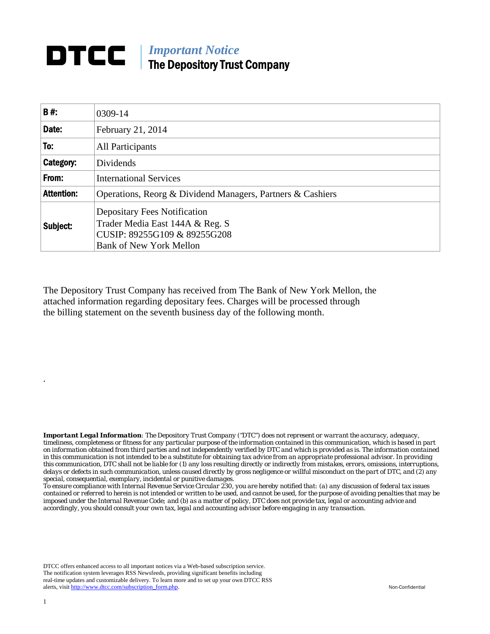## **DTCC** | *Important Notice* The Depository Trust Company

| B#:               | 0309-14                                                                                                                                  |  |
|-------------------|------------------------------------------------------------------------------------------------------------------------------------------|--|
| Date:             | February 21, 2014                                                                                                                        |  |
| To:               | All Participants                                                                                                                         |  |
| Category:         | <b>Dividends</b>                                                                                                                         |  |
| From:             | <b>International Services</b>                                                                                                            |  |
| <b>Attention:</b> | Operations, Reorg & Dividend Managers, Partners & Cashiers                                                                               |  |
| Subject:          | <b>Depositary Fees Notification</b><br>Trader Media East 144A & Reg. S<br>CUSIP: 89255G109 & 89255G208<br><b>Bank of New York Mellon</b> |  |

The Depository Trust Company has received from The Bank of New York Mellon, the attached information regarding depositary fees. Charges will be processed through the billing statement on the seventh business day of the following month.

*Important Legal Information: The Depository Trust Company ("DTC") does not represent or warrant the accuracy, adequacy, timeliness, completeness or fitness for any particular purpose of the information contained in this communication, which is based in part on information obtained from third parties and not independently verified by DTC and which is provided as is. The information contained in this communication is not intended to be a substitute for obtaining tax advice from an appropriate professional advisor. In providing this communication, DTC shall not be liable for (1) any loss resulting directly or indirectly from mistakes, errors, omissions, interruptions, delays or defects in such communication, unless caused directly by gross negligence or willful misconduct on the part of DTC, and (2) any special, consequential, exemplary, incidental or punitive damages.* 

*To ensure compliance with Internal Revenue Service Circular 230, you are hereby notified that: (a) any discussion of federal tax issues contained or referred to herein is not intended or written to be used, and cannot be used, for the purpose of avoiding penalties that may be imposed under the Internal Revenue Code; and (b) as a matter of policy, DTC does not provide tax, legal or accounting advice and accordingly, you should consult your own tax, legal and accounting advisor before engaging in any transaction.*

DTCC offers enhanced access to all important notices via a Web-based subscription service. The notification system leverages RSS Newsfeeds, providing significant benefits including real-time updates and customizable delivery. To learn more and to set up your own DTCC RSS alerts, visit http://www.dtcc.com/subscription\_form.php. Non-Confidential

.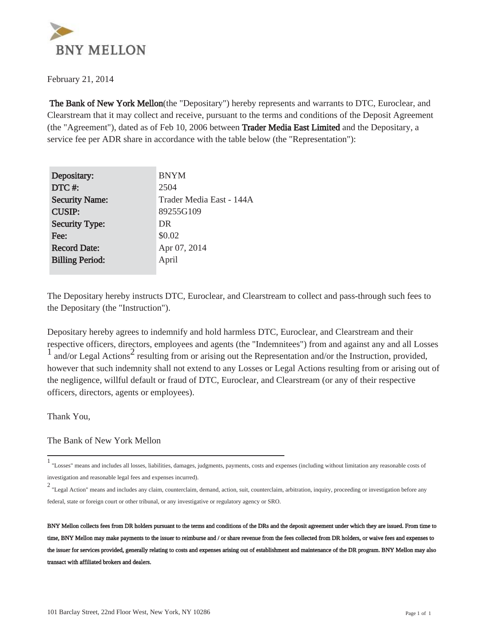

February 21, 2014

 The Bank of New York Mellon(the "Depositary") hereby represents and warrants to DTC, Euroclear, and Clearstream that it may collect and receive, pursuant to the terms and conditions of the Deposit Agreement (the "Agreement"), dated as of Feb 10, 2006 between Trader Media East Limited and the Depositary, a service fee per ADR share in accordance with the table below (the "Representation"):

| Depositary:            | <b>BNYM</b>              |
|------------------------|--------------------------|
| DTC#:                  | 2504                     |
| <b>Security Name:</b>  | Trader Media East - 144A |
| <b>CUSIP:</b>          | 89255G109                |
| <b>Security Type:</b>  | DR                       |
| Fee:                   | \$0.02                   |
| <b>Record Date:</b>    | Apr 07, 2014             |
| <b>Billing Period:</b> | April                    |
|                        |                          |

The Depositary hereby instructs DTC, Euroclear, and Clearstream to collect and pass-through such fees to the Depositary (the "Instruction").

Depositary hereby agrees to indemnify and hold harmless DTC, Euroclear, and Clearstream and their respective officers, directors, employees and agents (the "Indemnitees") from and against any and all Losses  $\frac{1}{1}$  and/or Legal Actions<sup>2</sup> resulting from or arising out the Representation and/or the Instruction, provided, however that such indemnity shall not extend to any Losses or Legal Actions resulting from or arising out of the negligence, willful default or fraud of DTC, Euroclear, and Clearstream (or any of their respective officers, directors, agents or employees).

Thank You,

The Bank of New York Mellon

<sup>1</sup> "Losses" means and includes all losses, liabilities, damages, judgments, payments, costs and expenses (including without limitation any reasonable costs of investigation and reasonable legal fees and expenses incurred).

<sup>2</sup> "Legal Action" means and includes any claim, counterclaim, demand, action, suit, counterclaim, arbitration, inquiry, proceeding or investigation before any federal, state or foreign court or other tribunal, or any investigative or regulatory agency or SRO.

BNY Mellon collects fees from DR holders pursuant to the terms and conditions of the DRs and the deposit agreement under which they are issued. From time to time, BNY Mellon may make payments to the issuer to reimburse and / or share revenue from the fees collected from DR holders, or waive fees and expenses to the issuer for services provided, generally relating to costs and expenses arising out of establishment and maintenance of the DR program. BNY Mellon may also transact with affiliated brokers and dealers.